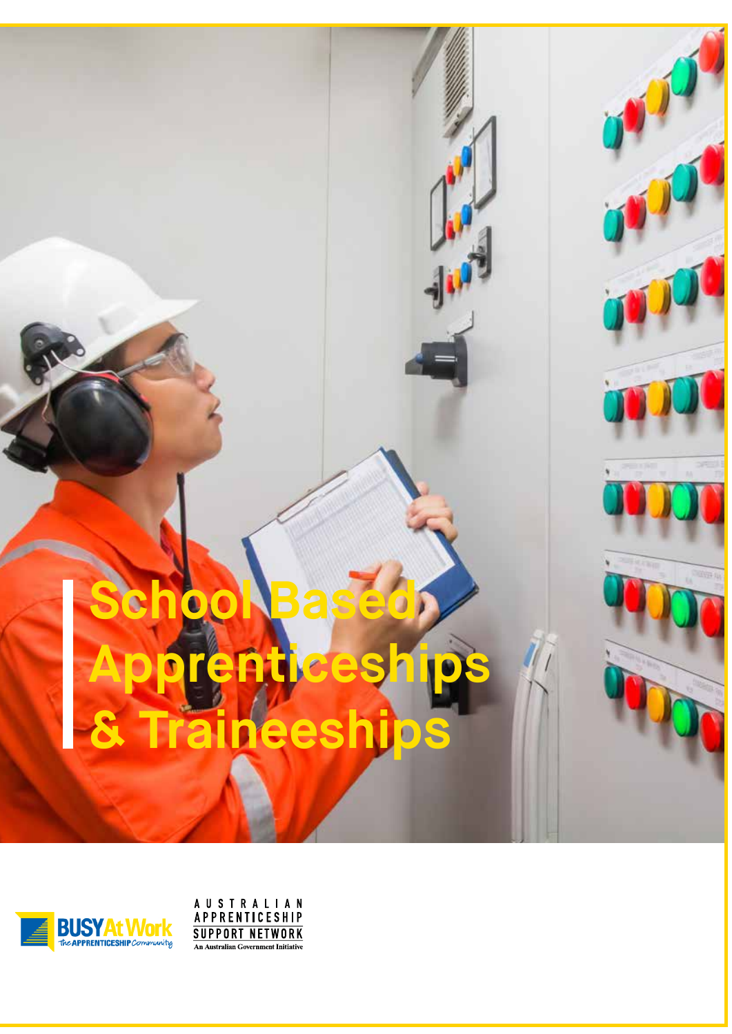# **School Based Apprenticeships & Traineeships**



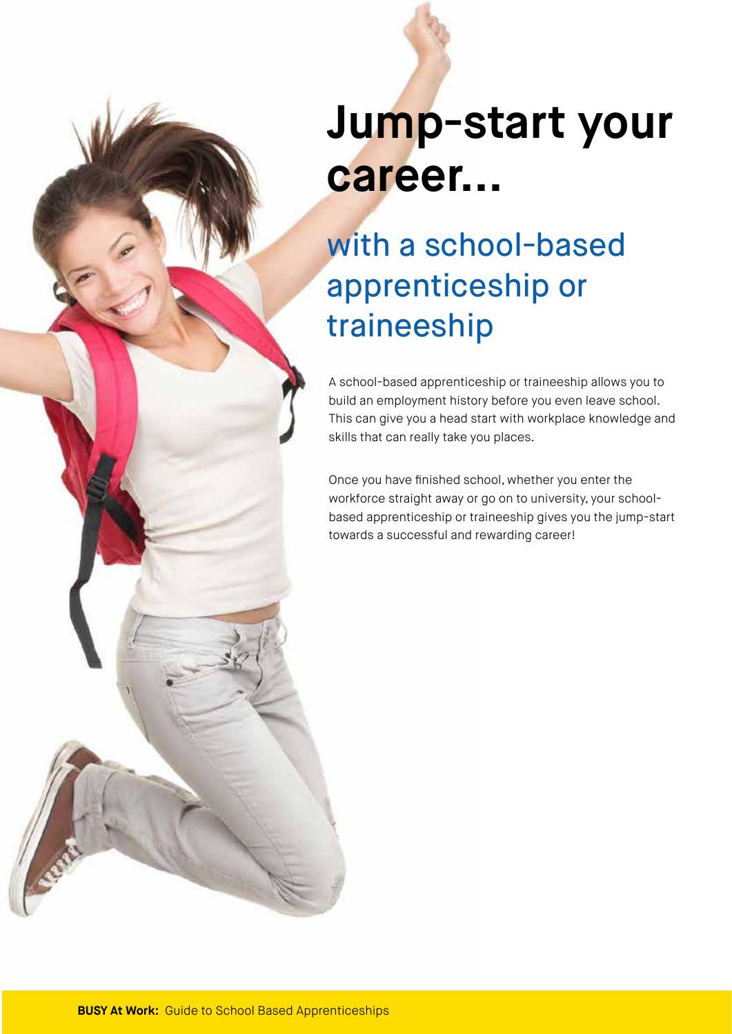## **Jump-start your career...**

## with a school-based apprenticeship or traineeship

A school-based apprenticeship or traineeship allows you to build an employment history before you even leave school. This can give you a head start with workplace knowledge and skills that can really take you places.

Once you have finished school, whether you enter the workforce straight away or go on to university, your schoolbased apprenticeship or traineeship gives you the jump-start towards a successful and rewarding career!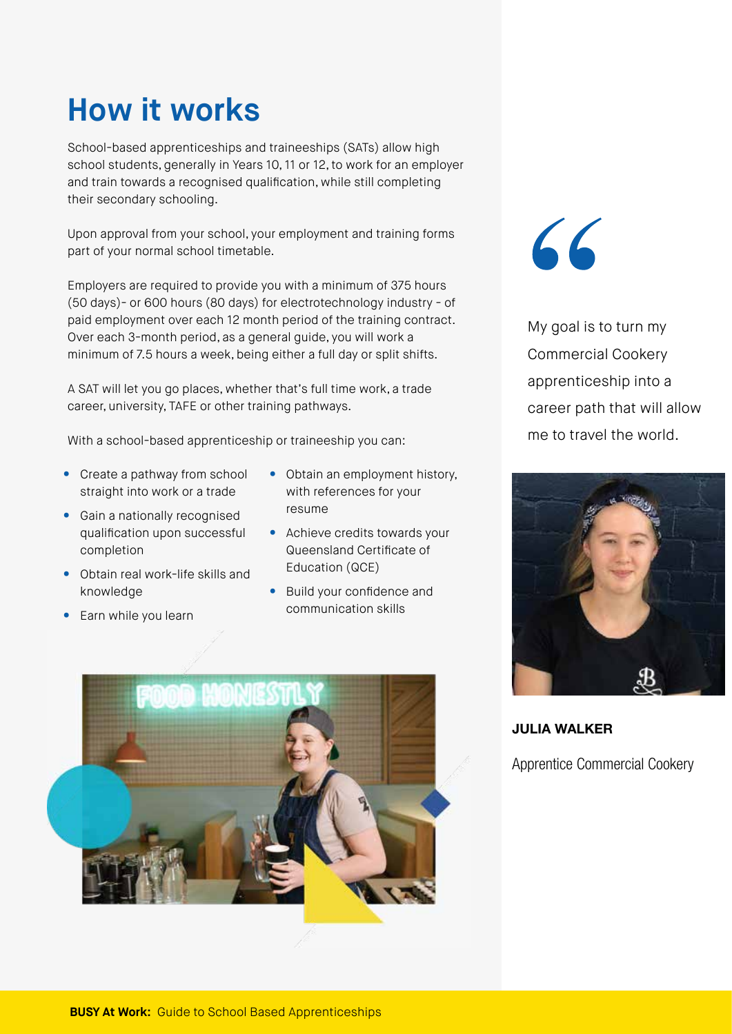## **How it works**

School-based apprenticeships and traineeships (SATs) allow high school students, generally in Years 10, 11 or 12, to work for an employer and train towards a recognised qualification, while still completing their secondary schooling.

Upon approval from your school, your employment and training forms part of your normal school timetable.

Employers are required to provide you with a minimum of 375 hours (50 days)- or 600 hours (80 days) for electrotechnology industry - of paid employment over each 12 month period of the training contract. Over each 3-month period, as a general guide, you will work a minimum of 7.5 hours a week, being either a full day or split shifts.

A SAT will let you go places, whether that's full time work, a trade career, university, TAFE or other training pathways.

With a school-based apprenticeship or traineeship you can:

- Create a pathway from school straight into work or a trade
- Gain a nationally recognised qualification upon successful completion
- Obtain real work-life skills and knowledge
- Earn while you learn
- Obtain an employment history, with references for your resume
- Achieve credits towards your Queensland Certificate of Education (QCE)
- Build your confidence and communication skills



 $66$ 

My goal is to turn my Commercial Cookery apprenticeship into a career path that will allow me to travel the world.



JULIA WALKER

Apprentice Commercial Cookery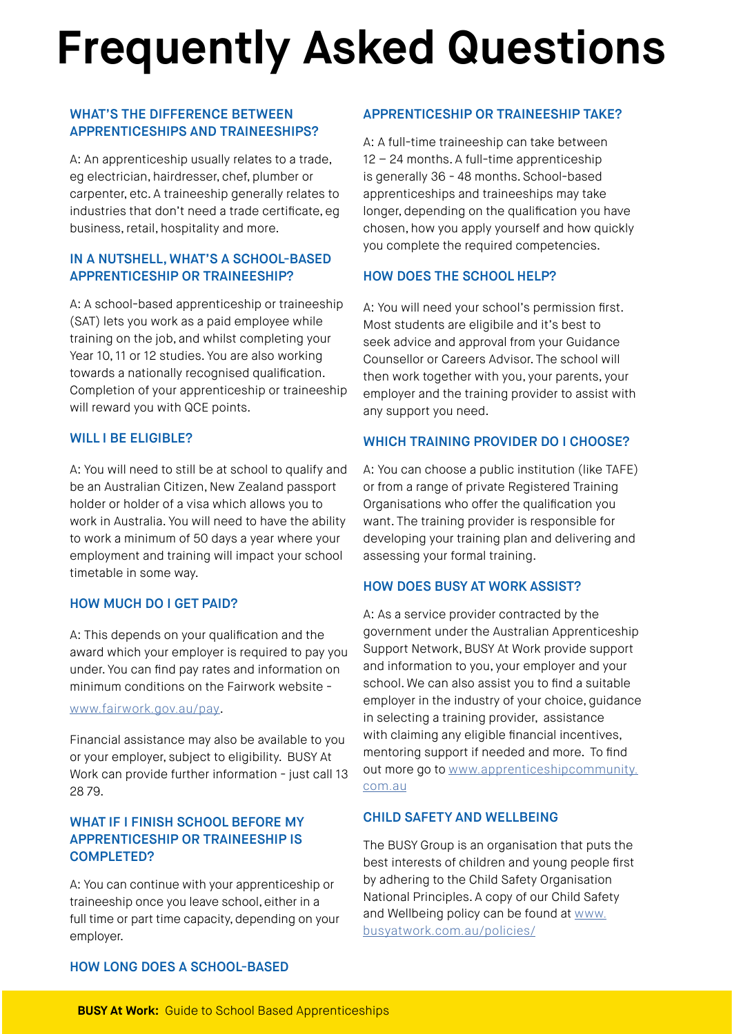## **Frequently Asked Questions**

#### WHAT'S THE DIFFERENCE BETWEEN APPRENTICESHIPS AND TRAINEESHIPS?

A: An apprenticeship usually relates to a trade, eg electrician, hairdresser, chef, plumber or carpenter, etc. A traineeship generally relates to industries that don't need a trade certificate, eg business, retail, hospitality and more.

#### IN A NUTSHELL, WHAT'S A SCHOOL-BASED APPRENTICESHIP OR TRAINEESHIP?

A: A school-based apprenticeship or traineeship (SAT) lets you work as a paid employee while training on the job, and whilst completing your Year 10, 11 or 12 studies. You are also working towards a nationally recognised qualification. Completion of your apprenticeship or traineeship will reward you with QCE points.

#### WILL I BE ELIGIBLE?

A: You will need to still be at school to qualify and be an Australian Citizen, New Zealand passport holder or holder of a visa which allows you to work in Australia. You will need to have the ability to work a minimum of 50 days a year where your employment and training will impact your school timetable in some way.

#### HOW MUCH DO I GET PAID?

A: This depends on your qualification and the award which your employer is required to pay you under. You can find pay rates and information on minimum conditions on the Fairwork website -

#### www.fairwork.gov.au/pay.

Financial assistance may also be available to you or your employer, subject to eligibility. BUSY At Work can provide further information - just call 13 28 79.

#### WHAT IF I FINISH SCHOOL BEFORE MY APPRENTICESHIP OR TRAINEESHIP IS COMPLETED?

A: You can continue with your apprenticeship or traineeship once you leave school, either in a full time or part time capacity, depending on your employer.

#### APPRENTICESHIP OR TRAINEESHIP TAKE?

A: A full-time traineeship can take between 12 – 24 months. A full-time apprenticeship is generally 36 - 48 months. School-based apprenticeships and traineeships may take longer, depending on the qualification you have chosen, how you apply yourself and how quickly you complete the required competencies.

#### HOW DOES THE SCHOOL HELP?

A: You will need your school's permission first. Most students are eligibile and it's best to seek advice and approval from your Guidance Counsellor or Careers Advisor. The school will then work together with you, your parents, your employer and the training provider to assist with any support you need.

#### WHICH TRAINING PROVIDER DO I CHOOSE?

A: You can choose a public institution (like TAFE) or from a range of private Registered Training Organisations who offer the qualification you want. The training provider is responsible for developing your training plan and delivering and assessing your formal training.

#### HOW DOES BUSY AT WORK ASSIST?

A: As a service provider contracted by the government under the Australian Apprenticeship Support Network, BUSY At Work provide support and information to you, your employer and your school. We can also assist you to find a suitable employer in the industry of your choice, guidance in selecting a training provider, assistance with claiming any eligible financial incentives, mentoring support if needed and more. To find out more go to www.apprenticeshipcommunity. com.au

#### CHILD SAFETY AND WELLBEING

The BUSY Group is an organisation that puts the best interests of children and young people first by adhering to the Child Safety Organisation National Principles. A copy of our Child Safety and Wellbeing policy can be found at www. busyatwork.com.au/policies/

#### HOW LONG DOES A SCHOOL-BASED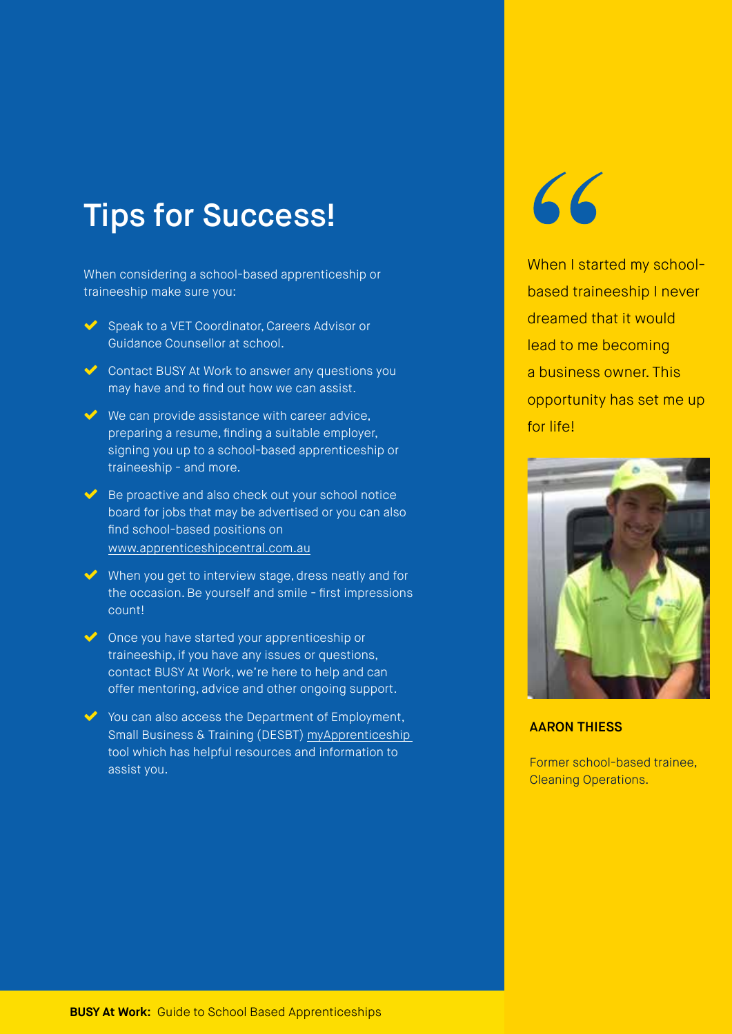### Tips for Success!

When considering a school-based apprenticeship or traineeship make sure you:

- Speak to a VET Coordinator, Careers Advisor or Guidance Counsellor at school.
- Contact BUSY At Work to answer any questions you may have and to find out how we can assist.
- $\vee$  We can provide assistance with career advice, preparing a resume, finding a suitable employer, signing you up to a school-based apprenticeship or traineeship - and more.
- $\blacktriangleright$  Be proactive and also check out your school notice board for jobs that may be advertised or you can also find school-based positions on www.apprenticeshipcentral.com.au
- $\vee$  When you get to interview stage, dress neatly and for the occasion. Be yourself and smile - first impressions count!
- ◆ Once you have started your apprenticeship or traineeship, if you have any issues or questions, contact BUSY At Work, we're here to help and can offer mentoring, advice and other ongoing support.
- You can also access the Department of Employment, Small Business & Training (DESBT) myApprenticeship tool which has helpful resources and information to assist you.

# 66

When I started my schoolbased traineeship I never dreamed that it would lead to me becoming a business owner. This opportunity has set me up for life!



#### AARON THIESS

Former school-based trainee, Cleaning Operations.